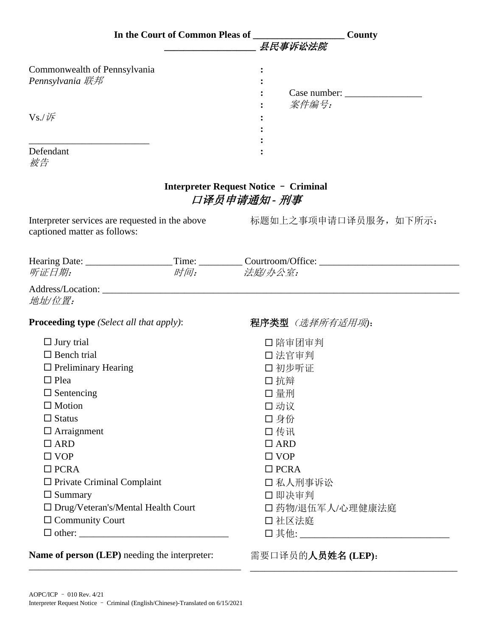|                                                 | In the Court of Common Pleas of _________________________County                   |
|-------------------------------------------------|-----------------------------------------------------------------------------------|
|                                                 | 县民事诉讼法院                                                                           |
| Commonwealth of Pennsylvania<br>Pennsylvania 联邦 |                                                                                   |
| $Vs$ / $\not$                                   | 案件编号:                                                                             |
| Defendant<br>被告                                 |                                                                                   |
|                                                 | Interpreter Request Notice - Criminal<br>口译员申请通知 - 刑事                             |
| captioned matter as follows:                    | Interpreter services are requested in the above<br>标题如上之事项申请口译员服务, 如下所示:          |
|                                                 | Hearing Date: __________________Time: __________Courtroom/Office: _______________ |
| 听证日期:                                           | 时间: 法庭/办公室:                                                                       |
| 地址/位置:                                          |                                                                                   |
| <b>Proceeding type</b> (Select all that apply): | 程序类型 (选择所有适用项):                                                                   |
| $\Box$ Jury trial                               | 口陪审团审判                                                                            |
| $\Box$ Bench trial                              | 口法官审判                                                                             |
| $\Box$ Preliminary Hearing                      | 口初步听证                                                                             |
| $\Box$ Plea                                     | 口抗辩                                                                               |
| $\Box$ Sentencing                               | 口 量刑                                                                              |
| $\Box$ Motion                                   | 口动议                                                                               |
| $\Box$ Status                                   | 口身份                                                                               |
| $\Box$ Arraignment                              | 口传讯                                                                               |
| $\Box$ ARD                                      | $\Box$ ARD                                                                        |
| $\Box$ VOP                                      | $\Box$ VOP                                                                        |
| $\Box$ PCRA                                     | $\Box$ PCRA                                                                       |
| $\Box$ Private Criminal Complaint               | 口私人刑事诉讼                                                                           |
| $\Box$ Summary                                  | 口即决审判                                                                             |
| $\Box$ Drug/Veteran's/Mental Health Court       | 口药物/退伍军人/心理健康法庭                                                                   |
| $\Box$ Community Court                          | 口 社区法庭                                                                            |
|                                                 |                                                                                   |
| Name of person (LEP) needing the interpreter:   | 需要口译员的人员姓名(LEP):                                                                  |

\_\_\_\_\_\_\_\_\_\_\_\_\_\_\_\_\_\_\_\_\_\_\_\_\_\_\_\_\_\_\_\_\_\_\_\_\_\_\_\_\_\_\_

\_\_\_\_\_\_\_\_\_\_\_\_\_\_\_\_\_\_\_\_\_\_\_\_\_\_\_\_\_\_\_\_\_\_\_\_\_\_\_\_\_\_\_\_